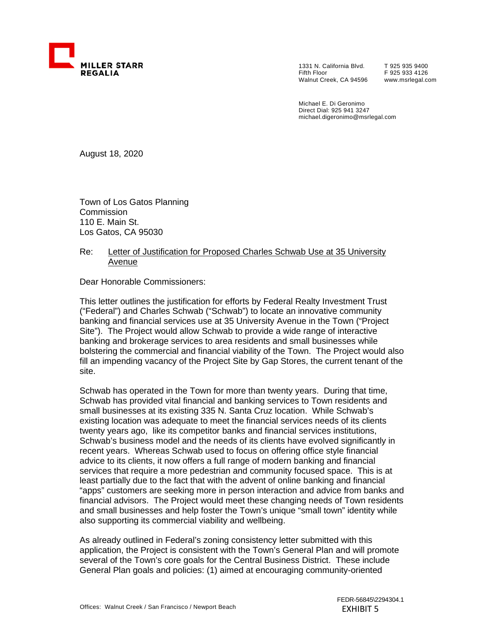

1331 N. California Blvd. Fifth Floor Walnut Creek, CA 94596 T 925 935 9400 F 925 933 4126 www.msrlegal.com

Michael E. Di Geronimo Direct Dial: 925 941 3247 michael.digeronimo@msrlegal.com

August 18, 2020

Town of Los Gatos Planning **Commission** 110 E. Main St. Los Gatos, CA 95030

## Re: Letter of Justification for Proposed Charles Schwab Use at 35 University Avenue

Dear Honorable Commissioners:

This letter outlines the justification for efforts by Federal Realty Investment Trust ("Federal") and Charles Schwab ("Schwab") to locate an innovative community banking and financial services use at 35 University Avenue in the Town ("Project Site"). The Project would allow Schwab to provide a wide range of interactive banking and brokerage services to area residents and small businesses while bolstering the commercial and financial viability of the Town. The Project would also fill an impending vacancy of the Project Site by Gap Stores, the current tenant of the site.

Schwab has operated in the Town for more than twenty years. During that time, Schwab has provided vital financial and banking services to Town residents and small businesses at its existing 335 N. Santa Cruz location. While Schwab's existing location was adequate to meet the financial services needs of its clients twenty years ago, like its competitor banks and financial services institutions, Schwab's business model and the needs of its clients have evolved significantly in recent years. Whereas Schwab used to focus on offering office style financial advice to its clients, it now offers a full range of modern banking and financial services that require a more pedestrian and community focused space. This is at least partially due to the fact that with the advent of online banking and financial "apps" customers are seeking more in person interaction and advice from banks and financial advisors. The Project would meet these changing needs of Town residents and small businesses and help foster the Town's unique "small town" identity while also supporting its commercial viability and wellbeing.

As already outlined in Federal's zoning consistency letter submitted with this application, the Project is consistent with the Town's General Plan and will promote several of the Town's core goals for the Central Business District. These include General Plan goals and policies: (1) aimed at encouraging community-oriented